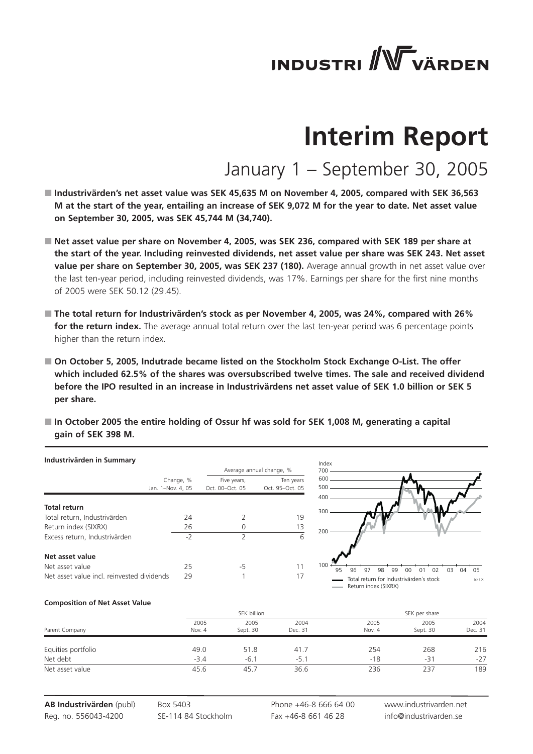# **INDUSTRI** WVÄRDEN

## **Interim Report**

### January 1 – September 30, 2005

- Industrivärden's net asset value was SEK 45,635 M on November 4, 2005, compared with SEK 36,563 **M at the start of the year, entailing an increase of SEK 9,072 M for the year to date. Net asset value on September 30, 2005, was SEK 45,744 M (34,740).**
- Net asset value per share on November 4, 2005, was SEK 236, compared with SEK 189 per share at **the start of the year. Including reinvested dividends, net asset value per share was SEK 243. Net asset value per share on September 30, 2005, was SEK 237 (180).** Average annual growth in net asset value over the last ten-year period, including reinvested dividends, was 17%. Earnings per share for the first nine months of 2005 were SEK 50.12 (29.45).
- **The total return for Industrivärden's stock as per November 4, 2005, was 24%, compared with 26% for the return index.** The average annual total return over the last ten-year period was 6 percentage points higher than the return index.
- On October 5, 2005, Indutrade became listed on the Stockholm Stock Exchange O-List. The offer **which included 62.5% of the shares was oversubscribed twelve times. The sale and received dividend before the IPO resulted in an increase in Industrivärdens net asset value of SEK 1.0 billion or SEK 5 per share.**
- In October 2005 the entire holding of Ossur hf was sold for SEK 1,008 M, generating a capital **gain of SEK 398 M.**

| Industrivärden in Summary                  |                                |                                |                              | Index      |                                                                 |                                  |
|--------------------------------------------|--------------------------------|--------------------------------|------------------------------|------------|-----------------------------------------------------------------|----------------------------------|
|                                            |                                |                                | Average annual change, %     | 700        |                                                                 |                                  |
|                                            | Change, %<br>Jan. 1-Nov. 4, 05 | Five years,<br>Oct. 00-Oct. 05 | Ten years<br>Oct. 95-Oct. 05 | 600<br>500 |                                                                 |                                  |
| <b>Total return</b>                        |                                |                                |                              | 400<br>300 |                                                                 |                                  |
| Total return, Industrivärden               | 24                             |                                | 19                           |            |                                                                 |                                  |
| Return index (SIXRX)                       | 26                             |                                | 13                           | 200        |                                                                 |                                  |
| Excess return, Industrivärden              | $-2$                           |                                | 6                            |            |                                                                 |                                  |
| Net asset value                            |                                |                                |                              |            |                                                                 |                                  |
| Net asset value                            | 25                             | -5                             |                              | 100<br>95  | 96<br>97<br>98<br>99<br>00<br>(11)                              | 0 <sub>5</sub><br>02<br>03<br>04 |
| Net asset value incl. reinvested dividends | 29                             |                                | 17                           |            | Total return for Industrivärden's stock<br>Return index (SIXRX) | $(c)$ SIX                        |

#### **Composition of Net Asset Value**

|                    |                | SEK billion      |                 | SEK per share  |                  |                 |
|--------------------|----------------|------------------|-----------------|----------------|------------------|-----------------|
| Parent Company     | 2005<br>Nov. 4 | 2005<br>Sept. 30 | 2004<br>Dec. 31 | 2005<br>Nov. 4 | 2005<br>Sept. 30 | 2004<br>Dec. 31 |
| Equities portfolio | 49.0           | 51.8             | 41.7            | 254            | 268              | 216             |
| Net debt           | $-3.4$         | $-6.1$           | $-5.1$          | $-18$          | -31              | $-27$           |
| Net asset value    | 45.6           | 45.7             | 36.6            | 236            | 237              | 189             |

**AB Industrivärden** (publ) Reg. no. 556043-4200

Box 5403 SE-114 84 Stockholm

Phone +46-8 666 64 00 Fax +46-8 661 46 28

www.industrivarden.net info@industrivarden.se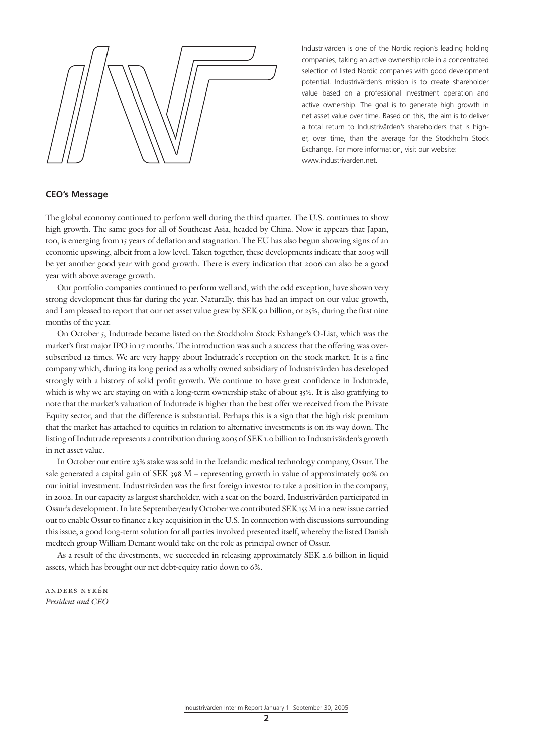Industrivärden is one of the Nordic region's leading holding companies, taking an active ownership role in a concentrated selection of listed Nordic companies with good development potential. Industrivärden's mission is to create shareholder value based on a professional investment operation and active ownership. The goal is to generate high growth in net asset value over time. Based on this, the aim is to deliver a total return to Industrivärden's shareholders that is higher, over time, than the average for the Stockholm Stock Exchange. For more information, visit our website: www.industrivarden.net.

#### **CEO's Message**

The global economy continued to perform well during the third quarter. The U.S. continues to show high growth. The same goes for all of Southeast Asia, headed by China. Now it appears that Japan, too, is emerging from 15 years of deflation and stagnation. The EU has also begun showing signs of an economic upswing, albeit from a low level. Taken together, these developments indicate that 2005 will be yet another good year with good growth. There is every indication that 2006 can also be a good year with above average growth.

Our portfolio companies continued to perform well and, with the odd exception, have shown very strong development thus far during the year. Naturally, this has had an impact on our value growth, and I am pleased to report that our net asset value grew by SEK 9.1 billion, or 25%, during the first nine months of the year.

On October 5, Indutrade became listed on the Stockholm Stock Exhange's O-List, which was the market's first major IPO in 17 months. The introduction was such a success that the offering was oversubscribed 12 times. We are very happy about Indutrade's reception on the stock market. It is a fine company which, during its long period as a wholly owned subsidiary of Industrivärden has developed strongly with a history of solid profit growth. We continue to have great confidence in Indutrade, which is why we are staying on with a long-term ownership stake of about 35%. It is also gratifying to note that the market's valuation of Indutrade is higher than the best offer we received from the Private Equity sector, and that the difference is substantial. Perhaps this is a sign that the high risk premium that the market has attached to equities in relation to alternative investments is on its way down. The listing of Indutrade represents a contribution during 2005 of SEK 1.0 billion to Industrivärden's growth in net asset value.

In October our entire 23% stake was sold in the Icelandic medical technology company, Ossur. The sale generated a capital gain of SEK 398 M – representing growth in value of approximately 90% on our initial investment. Industrivärden was the first foreign investor to take a position in the company, in 2002. In our capacity as largest shareholder, with a seat on the board, Industrivärden participated in Ossur's development. In late September/early October we contributed SEK 155 M in a new issue carried out to enable Ossur to finance a key acquisition in the U.S. In connection with discussions surrounding this issue, a good long-term solution for all parties involved presented itself, whereby the listed Danish medtech group William Demant would take on the role as principal owner of Ossur.

As a result of the divestments, we succeeded in releasing approximately SEK 2.6 billion in liquid assets, which has brought our net debt-equity ratio down to 6%.

anders nyrén *President and CEO*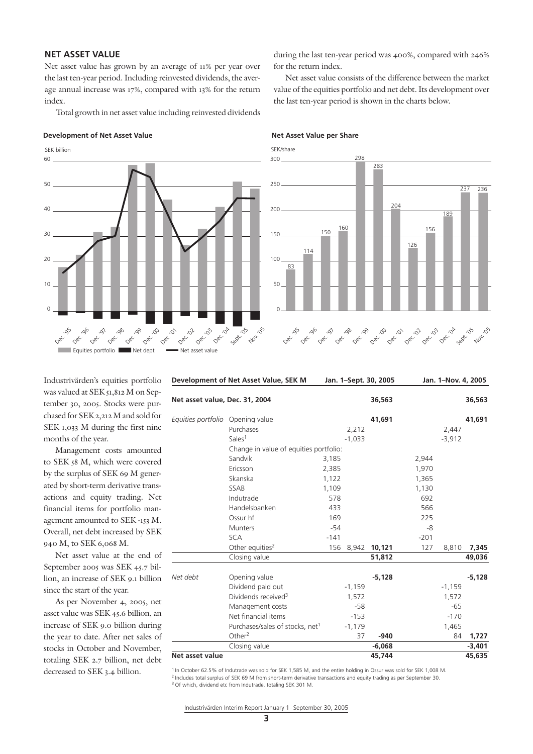#### **NET ASSET VALUE**

Net asset value has grown by an average of 11% per year over the last ten-year period. Including reinvested dividends, the average annual increase was 17%, compared with 13% for the return index.

Total growth in net asset value including reinvested dividends

#### **Development of Net Asset Value Net Asset Value per Share**



during the last ten-year period was 400%, compared with 246% for the return index.

Net asset value consists of the difference between the market value of the equities portfolio and net debt. Its development over the last ten-year period is shown in the charts below.

SEK/share



Industrivärden's equities portfolio was valued at SEK 51,812 M on September 30, 2005. Stocks were purchased for SEK 2,212 M and sold for SEK 1,033 M during the first nine months of the year.

Management costs amounted to SEK 58 M, which were covered by the surplus of SEK 69 M generated by short-term derivative transactions and equity trading. Net financial items for portfolio management amounted to SEK -153 M. Overall, net debt increased by SEK 940 M, to SEK 6,068 M.

Net asset value at the end of September 2005 was SEK 45.7 billion, an increase of SEK 9.1 billion since the start of the year.

As per November 4, 2005, net asset value was SEK 45.6 billion, an increase of SEK 9.0 billion during the year to date. After net sales of stocks in October and November, totaling SEK 2.7 billion, net debt decreased to SEK 3.4 billion.

| Development of Net Asset Value, SEK M |                                             | Jan. 1-Sept. 30, 2005 | Jan. 1-Nov. 4, 2005 |        |          |          |
|---------------------------------------|---------------------------------------------|-----------------------|---------------------|--------|----------|----------|
| Net asset value, Dec. 31, 2004        |                                             |                       | 36,563              |        |          | 36,563   |
| Equities portfolio Opening value      |                                             |                       | 41,691              |        |          | 41,691   |
|                                       | Purchases                                   | 2,212                 |                     |        | 2,447    |          |
|                                       | Sales <sup>1</sup>                          | $-1,033$              |                     |        | $-3,912$ |          |
|                                       | Change in value of equities portfolio:      |                       |                     |        |          |          |
|                                       | Sandvik                                     | 3,185                 |                     | 2,944  |          |          |
|                                       | Ericsson                                    | 2,385                 |                     | 1,970  |          |          |
|                                       | Skanska                                     | 1,122                 |                     | 1,365  |          |          |
|                                       | SSAB                                        | 1,109                 |                     | 1,130  |          |          |
|                                       | Indutrade                                   | 578                   |                     | 692    |          |          |
|                                       | Handelsbanken                               | 433                   |                     | 566    |          |          |
|                                       | Ossur hf                                    | 169                   |                     | 225    |          |          |
|                                       | <b>Munters</b>                              | -54                   |                     | -8     |          |          |
|                                       | <b>SCA</b>                                  | $-141$                |                     | $-201$ |          |          |
|                                       | Other equities <sup>2</sup>                 | 156 8,942 10,121      |                     | 127    | 8,810    | 7,345    |
|                                       | Closing value                               |                       | 51,812              |        |          | 49,036   |
| Net debt                              | Opening value                               |                       | $-5,128$            |        |          | $-5,128$ |
|                                       | Dividend paid out                           | $-1,159$              |                     |        | $-1,159$ |          |
|                                       | Dividends received <sup>3</sup>             | 1,572                 |                     |        | 1,572    |          |
|                                       | Management costs                            | $-58$                 |                     |        | $-65$    |          |
|                                       | Net financial items                         | $-153$                |                     |        | $-170$   |          |
|                                       | Purchases/sales of stocks, net <sup>1</sup> | $-1,179$              |                     |        | 1,465    |          |
|                                       | Other <sup>2</sup>                          | 37                    | $-940$              |        | 84       | 1,727    |
|                                       | Closing value                               |                       | $-6,068$            |        |          | $-3,401$ |
| Net asset value                       |                                             |                       | 45.744              |        |          | 45,635   |

<sup>1</sup> In October 62.5% of Indutrade was sold for SEK 1,585 M, and the entire holding in Ossur was sold for SEK 1,008 M. 2 Includes total surplus of SEK 69 M from short-term derivative transactions and equity trading as per September 30. <sup>3</sup> Of which, dividend etc from Indutrade, totaling SEK 301 M.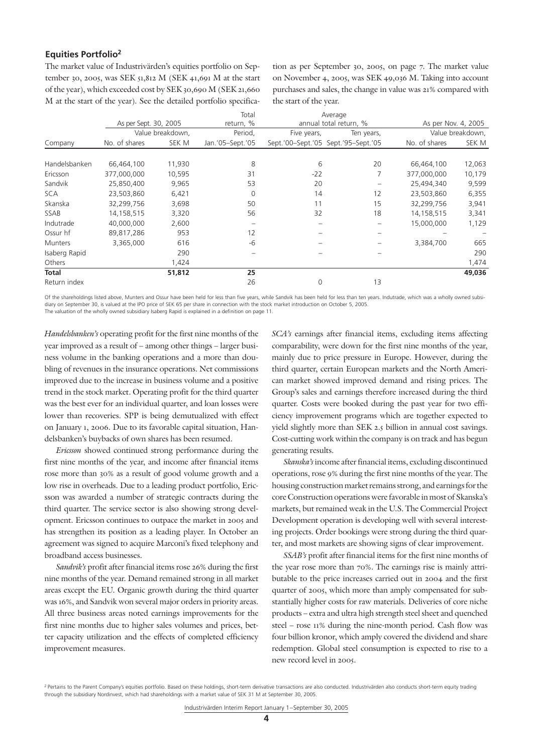#### **Equities Portfolio2**

The market value of Industrivärden's equities portfolio on September 30, 2005, was SEK 51,812 M (SEK 41,691 M at the start of the year), which exceeded cost by SEK 30,690 M (SEK 21,660 M at the start of the year). See the detailed portfolio specification as per September 30, 2005, on page 7. The market value on November 4, 2005, was SEK 49,036 M. Taking into account purchases and sales, the change in value was 21% compared with the start of the year.

|                |                       |                  | Total            |                                     | Average                |               |                     |
|----------------|-----------------------|------------------|------------------|-------------------------------------|------------------------|---------------|---------------------|
|                | As per Sept. 30, 2005 |                  | return, %        |                                     | annual total return, % |               | As per Nov. 4, 2005 |
|                |                       | Value breakdown, | Period,          | Five years,                         | Ten years,             |               | Value breakdown,    |
| Company        | No. of shares         | SEK M            | Jan.'05-Sept.'05 | Sept.'00-Sept.'05 Sept.'95-Sept.'05 |                        | No. of shares | SEK M               |
|                |                       |                  |                  |                                     |                        |               |                     |
| Handelsbanken  | 66,464,100            | 11,930           | 8                | 6                                   | 20                     | 66,464,100    | 12,063              |
| Ericsson       | 377,000,000           | 10,595           | 31               | $-22$                               |                        | 377,000,000   | 10,179              |
| Sandvik        | 25,850,400            | 9,965            | 53               | 20                                  |                        | 25,494,340    | 9,599               |
| <b>SCA</b>     | 23,503,860            | 6,421            | $\Omega$         | 14                                  | 12                     | 23,503,860    | 6,355               |
| Skanska        | 32,299,756            | 3,698            | 50               | 11                                  | 15                     | 32,299,756    | 3,941               |
| SSAB           | 14,158,515            | 3,320            | 56               | 32                                  | 18                     | 14,158,515    | 3,341               |
| Indutrade      | 40,000,000            | 2,600            |                  |                                     |                        | 15,000,000    | 1,129               |
| Ossur hf       | 89,817,286            | 953              | 12               |                                     |                        |               |                     |
| <b>Munters</b> | 3,365,000             | 616              | -6               |                                     |                        | 3,384,700     | 665                 |
| Isaberg Rapid  |                       | 290              |                  |                                     |                        |               | 290                 |
| Others         |                       | 1,424            |                  |                                     |                        |               | 1,474               |
| Total          |                       | 51,812           | 25               |                                     |                        |               | 49,036              |
| Return index   |                       |                  | 26               | 0                                   | 13                     |               |                     |

Of the shareholdings listed above, Munters and Ossur have been held for less than five years, while Sandvik has been held for less than ten years. Indutrade, which was a wholly owned subsidiary on September 30, is valued at the IPO price of SEK 65 per share in connection with the stock market introduction on October 5, 2005. The valuation of the wholly owned subsidiary Isaberg Rapid is explained in a definition on page 11

*Handelsbanken's* operating profit for the first nine months of the year improved as a result of – among other things – larger business volume in the banking operations and a more than doubling of revenues in the insurance operations. Net commissions improved due to the increase in business volume and a positive trend in the stock market. Operating profit for the third quarter was the best ever for an individual quarter, and loan losses were lower than recoveries. SPP is being demutualized with effect on January 1, 2006. Due to its favorable capital situation, Handelsbanken's buybacks of own shares has been resumed.

*Ericsson* showed continued strong performance during the first nine months of the year, and income after financial items rose more than 30% as a result of good volume growth and a low rise in overheads. Due to a leading product portfolio, Ericsson was awarded a number of strategic contracts during the third quarter. The service sector is also showing strong development. Ericsson continues to outpace the market in 2005 and has strengthen its position as a leading player. In October an agreement was signed to acquire Marconi's fixed telephony and broadband access businesses.

*Sandvik's* profit after financial items rose 26% during the first nine months of the year. Demand remained strong in all market areas except the EU. Organic growth during the third quarter was 16%, and Sandvik won several major orders in priority areas. All three business areas noted earnings improvements for the first nine months due to higher sales volumes and prices, better capacity utilization and the effects of completed efficiency improvement measures.

*SCA's* earnings after financial items, excluding items affecting comparability, were down for the first nine months of the year, mainly due to price pressure in Europe. However, during the third quarter, certain European markets and the North American market showed improved demand and rising prices. The Group's sales and earnings therefore increased during the third quarter. Costs were booked during the past year for two efficiency improvement programs which are together expected to yield slightly more than SEK 2.5 billion in annual cost savings. Cost-cutting work within the company is on track and has begun generating results.

*Skanska's* income after financial items, excluding discontinued operations, rose 9% during the first nine months of the year. The housing construction market remains strong, and earnings for the core Construction operations were favorable in most of Skanska's markets, but remained weak in the U.S. The Commercial Project Development operation is developing well with several interesting projects. Order bookings were strong during the third quarter, and most markets are showing signs of clear improvement.

*SSAB's* profit after financial items for the first nine months of the year rose more than 70%. The earnings rise is mainly attributable to the price increases carried out in 2004 and the first quarter of 2005, which more than amply compensated for substantially higher costs for raw materials. Deliveries of core niche products – extra and ultra high strength steel sheet and quenched steel – rose 11% during the nine-month period. Cash flow was four billion kronor, which amply covered the dividend and share redemption. Global steel consumption is expected to rise to a new record level in 2005.

<sup>&</sup>lt;sup>2</sup> Pertains to the Parent Company's equities portfolio. Based on these holdings, short-term derivative transactions are also conducted. Industrivärden also conducts short-term equity trading through the subsidiary Nordinvest, which had shareholdings with a market value of SEK 31 M at September 30, 2005.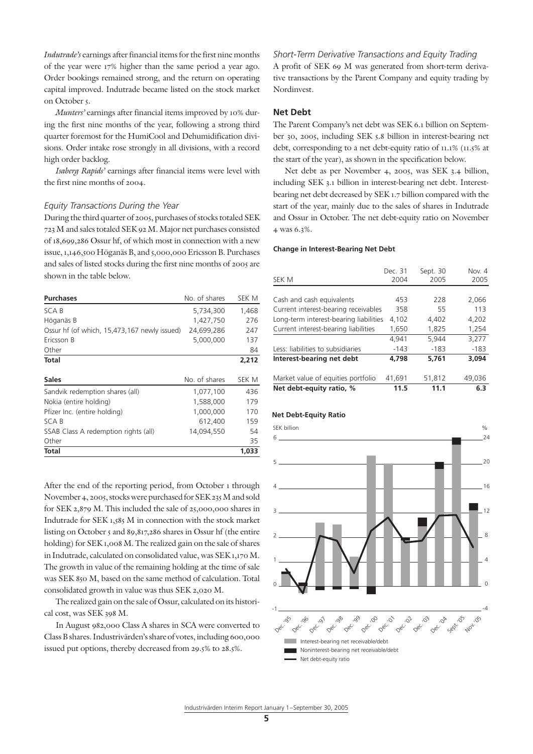*Indutrade's* earnings after financial items for the first nine months of the year were 17% higher than the same period a year ago. Order bookings remained strong, and the return on operating capital improved. Indutrade became listed on the stock market on October 5.

*Munters'* earnings after financial items improved by 10% during the first nine months of the year, following a strong third quarter foremost for the HumiCool and Dehumidification divisions. Order intake rose strongly in all divisions, with a record high order backlog.

*Isaberg Rapids'* earnings after financial items were level with the first nine months of 2004.

#### *Equity Transactions During the Year*

During the third quarter of 2005, purchases of stocks totaled SEK 723 M and sales totaled SEK 92 M. Major net purchases consisted of 18,699,286 Ossur hf, of which most in connection with a new issue, 1,146,500 Höganäs B, and 5,000,000 Ericsson B. Purchases and sales of listed stocks during the first nine months of 2005 are shown in the table below.

| <b>Purchases</b>                             | No. of shares | SEK M |
|----------------------------------------------|---------------|-------|
| SCA B                                        | 5,734,300     | 1,468 |
| Höganäs B                                    | 1,427,750     | 276   |
| Ossur hf (of which, 15,473,167 newly issued) | 24,699,286    | 247   |
| Ericsson B                                   | 5,000,000     | 137   |
| Other                                        |               | 84    |
| Total                                        |               | 2,212 |
| <b>Sales</b>                                 | No. of shares | SEK M |
| Sandvik redemption shares (all)              | 1,077,100     | 436   |
| Nokia (entire holding)                       | 1,588,000     | 179   |
| Pfizer Inc. (entire holding)                 | 1,000,000     | 170   |
| SCA B                                        | 612,400       | 159   |
| SSAB Class A redemption rights (all)         | 14,094,550    | 54    |
| Other                                        |               | 35    |
| <b>Total</b>                                 |               | 1,033 |

After the end of the reporting period, from October 1 through November 4, 2005, stocks were purchased for SEK 235 M and sold for SEK 2,879 M. This included the sale of 25,000,000 shares in Indutrade for SEK 1,585 M in connection with the stock market listing on October 5 and 89,817,286 shares in Ossur hf (the entire holding) for SEK 1,008 M. The realized gain on the sale of shares in Indutrade, calculated on consolidated value, was SEK 1,170 M. The growth in value of the remaining holding at the time of sale was SEK 850 M, based on the same method of calculation. Total consolidated growth in value was thus SEK 2,020 M.

The realized gain on the sale of Ossur, calculated on its historical cost, was SEK 398 M.

In August 982,000 Class A shares in SCA were converted to Class B shares. Industrivärden's share of votes, including 600,000 issued put options, thereby decreased from 29.5% to 28.5%.

*Short-Term Derivative Transactions and Equity Trading* A profit of SEK 69 M was generated from short-term derivative transactions by the Parent Company and equity trading by Nordinvest.

#### **Net Debt**

The Parent Company's net debt was SEK 6.1 billion on September 30, 2005, including SEK 5.8 billion in interest-bearing net debt, corresponding to a net debt-equity ratio of 11.1% (11.5% at the start of the year), as shown in the specification below.

Net debt as per November 4, 2005, was SEK 3.4 billion, including SEK 3.1 billion in interest-bearing net debt. Interestbearing net debt decreased by SEK 1.7 billion compared with the start of the year, mainly due to the sales of shares in Indutrade and Ossur in October. The net debt-equity ratio on November 4 was 6.3%.

#### **Change in Interest-Bearing Net Debt**

|                                        | Dec. 31 | Sept. 30 | Nov. 4 |
|----------------------------------------|---------|----------|--------|
| SEK M                                  | 2004    | 2005     | 2005   |
|                                        |         |          |        |
| Cash and cash equivalents              | 453     | 228      | 2,066  |
| Current interest-bearing receivables   | 358     | 55       | 113    |
| Long-term interest-bearing liabilities | 4,102   | 4,402    | 4,202  |
| Current interest-bearing liabilities   | 1,650   | 1,825    | 1,254  |
|                                        | 4.941   | 5.944    | 3,277  |
| Less: liabilities to subsidiaries      | $-143$  | $-183$   | $-183$ |
| Interest-bearing net debt              | 4.798   | 5.761    | 3.094  |
| Market value of equities portfolio     | 41,691  | 51,812   | 49,036 |
| Net debt-equity ratio, %               | 11.5    | 11.1     | 6.3    |

#### **Net Debt-Equity Ratio**

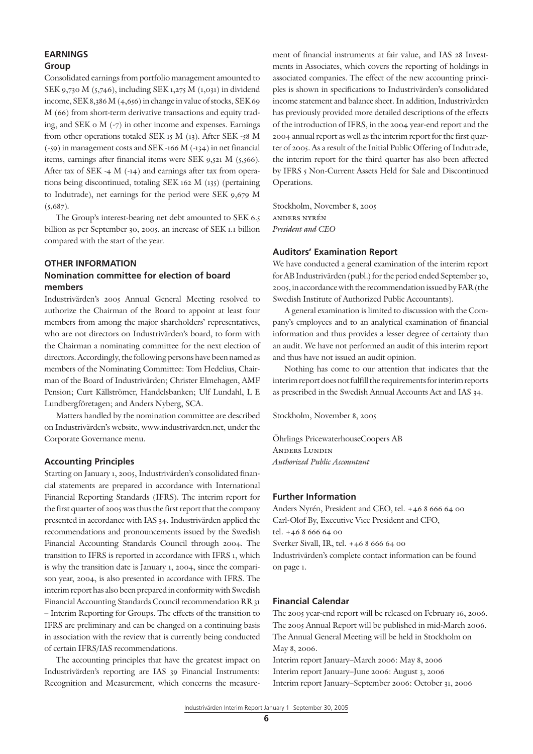### **EARNINGS**

#### **Group**

Consolidated earnings from portfolio management amounted to SEK 9,730 M (5,746), including SEK 1,275 M (1,031) in dividend income, SEK 8,386 M (4,656) in change in value of stocks, SEK 69 M (66) from short-term derivative transactions and equity trading, and SEK 0 M (-7) in other income and expenses. Earnings from other operations totaled SEK 15 M (13). After SEK -58 M (-59) in management costs and SEK -166 M (-134) in net financial items, earnings after financial items were SEK 9,521 M (5,566). After tax of SEK -4 M (-14) and earnings after tax from operations being discontinued, totaling SEK 162 M (135) (pertaining to Indutrade), net earnings for the period were SEK 9,679 M  $(5,687)$ .

The Group's interest-bearing net debt amounted to SEK 6.5 billion as per September 30, 2005, an increase of SEK 1.1 billion compared with the start of the year.

#### **OTHER INFORMATION Nomination committee for election of board members**

Industrivärden's 2005 Annual General Meeting resolved to authorize the Chairman of the Board to appoint at least four members from among the major shareholders' representatives, who are not directors on Industrivärden's board, to form with the Chairman a nominating committee for the next election of directors. Accordingly, the following persons have been named as members of the Nominating Committee: Tom Hedelius, Chairman of the Board of Industrivärden; Christer Elmehagen, AMF Pension; Curt Källströmer, Handelsbanken; Ulf Lundahl, L E Lundbergföretagen; and Anders Nyberg, SCA.

Matters handled by the nomination committee are described on Industrivärden's website, www.industrivarden.net, under the Corporate Governance menu.

#### **Accounting Principles**

Starting on January 1, 2005, Industrivärden's consolidated financial statements are prepared in accordance with International Financial Reporting Standards (IFRS). The interim report for the first quarter of 2005 was thus the first report that the company presented in accordance with IAS 34. Industrivärden applied the recommendations and pronouncements issued by the Swedish Financial Accounting Standards Council through 2004. The transition to IFRS is reported in accordance with IFRS 1, which is why the transition date is January 1, 2004, since the comparison year, 2004, is also presented in accordance with IFRS. The interim report has also been prepared in conformity with Swedish Financial Accounting Standards Council recommendation RR 31 – Interim Reporting for Groups. The effects of the transition to IFRS are preliminary and can be changed on a continuing basis in association with the review that is currently being conducted of certain IFRS/IAS recommendations.

The accounting principles that have the greatest impact on Industrivärden's reporting are IAS 39 Financial Instruments: Recognition and Measurement, which concerns the measurement of financial instruments at fair value, and IAS 28 Investments in Associates, which covers the reporting of holdings in associated companies. The effect of the new accounting principles is shown in specifications to Industrivärden's consolidated income statement and balance sheet. In addition, Industrivärden has previously provided more detailed descriptions of the effects of the introduction of IFRS, in the 2004 year-end report and the 2004 annual report as well as the interim report for the first quarter of 2005. As a result of the Initial Public Offering of Indutrade, the interim report for the third quarter has also been affected by IFRS 5 Non-Current Assets Held for Sale and Discontinued Operations.

Stockholm, November 8, 2005 anders nyrén *President and CEO*

#### **Auditors' Examination Report**

We have conducted a general examination of the interim report for AB Industrivärden (publ.) for the period ended September 30, 2005, in accordance with the recommendation issued by FAR (the Swedish Institute of Authorized Public Accountants).

A general examination is limited to discussion with the Company's employees and to an analytical examination of financial information and thus provides a lesser degree of certainty than an audit. We have not performed an audit of this interim report and thus have not issued an audit opinion.

Nothing has come to our attention that indicates that the interim report does not fulfill the requirements for interim reports as prescribed in the Swedish Annual Accounts Act and IAS 34.

Stockholm, November 8, 2005

Öhrlings PricewaterhouseCoopers AB Anders Lundin *Authorized Public Accountant*

#### **Further Information**

Anders Nyrén, President and CEO, tel. +46 8 666 64 00 Carl-Olof By, Executive Vice President and CFO, tel. +46 8 666 64 00 Sverker Sivall, IR, tel. +46 8 666 64 00 Industrivärden's complete contact information can be found on page 1.

#### **Financial Calendar**

The 2005 year-end report will be released on February 16, 2006. The 2005 Annual Report will be published in mid-March 2006. The Annual General Meeting will be held in Stockholm on May 8, 2006.

Interim report January–March 2006: May 8, 2006 Interim report January–June 2006: August 3, 2006 Interim report January–September 2006: October 31, 2006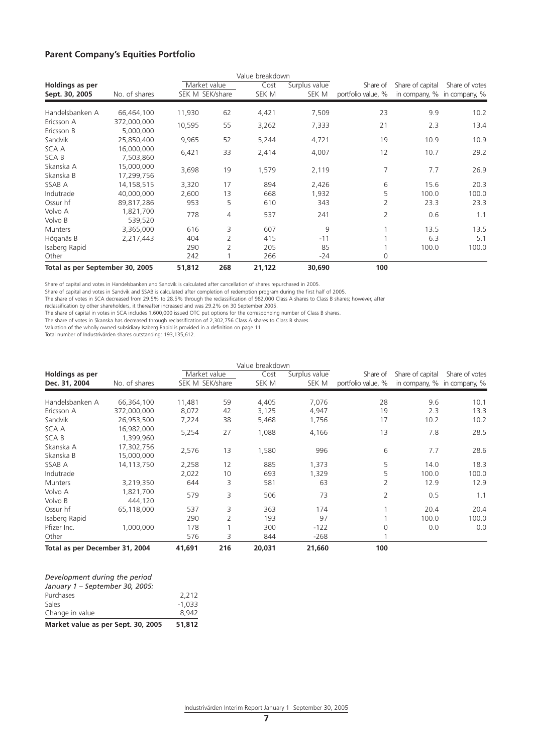#### **Parent Company's Equities Portfolio**

|                                   |                          |                                 |     | Value breakdown |                        |                                |                  |                                               |
|-----------------------------------|--------------------------|---------------------------------|-----|-----------------|------------------------|--------------------------------|------------------|-----------------------------------------------|
| Holdings as per<br>Sept. 30, 2005 | No. of shares            | Market value<br>SEK M SEK/share |     | Cost<br>SEK M   | Surplus value<br>SEK M | Share of<br>portfolio value, % | Share of capital | Share of votes<br>in company, % in company, % |
| Handelsbanken A                   | 66,464,100               | 11,930                          | 62  | 4,421           | 7,509                  | 23                             | 9.9              | 10.2                                          |
| Ericsson A<br>Ericsson B          | 372,000,000<br>5,000,000 | 10,595                          | 55  | 3,262           | 7,333                  | 21                             | 2.3              | 13.4                                          |
| Sandvik                           | 25,850,400               | 9,965                           | 52  | 5,244           | 4,721                  | 19                             | 10.9             | 10.9                                          |
| SCA A<br><b>SCAB</b>              | 16,000,000<br>7,503,860  | 6,421                           | 33  | 2,414           | 4,007                  | 12                             | 10.7             | 29.2                                          |
| Skanska A<br>Skanska B            | 15,000,000<br>17,299,756 | 3,698                           | 19  | 1,579           | 2,119                  | 7                              | 7.7              | 26.9                                          |
| SSAB A                            | 14,158,515               | 3,320                           | 17  | 894             | 2,426                  | 6                              | 15.6             | 20.3                                          |
| Indutrade                         | 40,000,000               | 2,600                           | 13  | 668             | 1,932                  | 5                              | 100.0            | 100.0                                         |
| Ossur hf                          | 89,817,286               | 953                             | 5   | 610             | 343                    | 2                              | 23.3             | 23.3                                          |
| Volvo A<br>Volvo B                | 1,821,700<br>539,520     | 778                             | 4   | 537             | 241                    | 2                              | 0.6              | 1.1                                           |
| <b>Munters</b>                    | 3,365,000                | 616                             | 3   | 607             | 9                      |                                | 13.5             | 13.5                                          |
| Höganäs B                         | 2,217,443                | 404                             | 2   | 415             | $-11$                  |                                | 6.3              | 5.1                                           |
| Isaberg Rapid                     |                          | 290                             | 2   | 205             | 85                     |                                | 100.0            | 100.0                                         |
| Other                             |                          | 242                             |     | 266             | -24                    | 0                              |                  |                                               |
| Total as per September 30, 2005   |                          | 51,812                          | 268 | 21,122          | 30,690                 | 100                            |                  |                                               |

Share of capital and votes in Handelsbanken and Sandvik is calculated after cancellation of shares repurchased in 2005.

Share of capital and votes in Sandvik and SSAB is calculated after completion of redemption program during the first half of 2005.

The share of votes in SCA decreased from 29.5% to 28.5% through the reclassification of 982,000 Class A shares to Class B shares; however, after

reclassification by other shareholders, it thereafter increased and was 29.2% on 30 September 2005.

The share of capital in votes in SCA includes 1,600,000 issued OTC put options for the corresponding number of Class B shares.<br>The share of votes in Skanska has decreased through reclassification of 2,302,756 Class A share

Total number of Industrivärden shares outstanding: 193,135,612.

|                                |                          |                 |     | Value breakdown |               |                    |                  |                             |
|--------------------------------|--------------------------|-----------------|-----|-----------------|---------------|--------------------|------------------|-----------------------------|
| Holdings as per                |                          | Market value    |     | Cost            | Surplus value | Share of           | Share of capital | Share of votes              |
| Dec. 31, 2004                  | No. of shares            | SEK M SEK/share |     | SEK M           | SEK M         | portfolio value, % |                  | in company, % in company, % |
| Handelsbanken A                | 66,364,100               | 11,481          | 59  | 4,405           | 7,076         | 28                 | 9.6              | 10.1                        |
| Ericsson A                     | 372,000,000              | 8,072           | 42  | 3,125           | 4,947         | 19                 | 2.3              | 13.3                        |
| Sandvik                        | 26,953,500               | 7,224           | 38  | 5,468           | 1,756         | 17                 | 10.2             | 10.2                        |
| SCA A<br><b>SCAB</b>           | 16,982,000<br>1,399,960  | 5,254           | 27  | 1,088           | 4,166         | 13                 | 7.8              | 28.5                        |
| Skanska A<br>Skanska B         | 17,302,756<br>15,000,000 | 2,576           | 13  | 1,580           | 996           | 6                  | 7.7              | 28.6                        |
| SSAB A                         | 14,113,750               | 2,258           | 12  | 885             | 1,373         | 5                  | 14.0             | 18.3                        |
| Indutrade                      |                          | 2,022           | 10  | 693             | 1,329         | 5                  | 100.0            | 100.0                       |
| <b>Munters</b>                 | 3,219,350                | 644             | 3   | 581             | 63            | 2                  | 12.9             | 12.9                        |
| Volvo A<br>Volvo B             | 1,821,700<br>444.120     | 579             | 3   | 506             | 73            | $\overline{2}$     | 0.5              | 1.1                         |
| Ossur hf                       | 65.118.000               | 537             | 3   | 363             | 174           |                    | 20.4             | 20.4                        |
| Isaberg Rapid                  |                          | 290             | 2   | 193             | 97            |                    | 100.0            | 100.0                       |
| Pfizer Inc.                    | 1,000,000                | 178             |     | 300             | $-122$        | $\Omega$           | 0.0              | 0.0                         |
| Other                          |                          | 576             | 3   | 844             | $-268$        |                    |                  |                             |
| Total as per December 31, 2004 |                          | 41,691          | 216 | 20,031          | 21,660        | 100                |                  |                             |

| Market value as per Sept. 30, 2005 | 51,812   |
|------------------------------------|----------|
| Change in value                    | 8.942    |
| Sales                              | $-1.033$ |
| Purchases                          | 2.212    |
| January 1 - September 30, 2005:    |          |
| Development during the period      |          |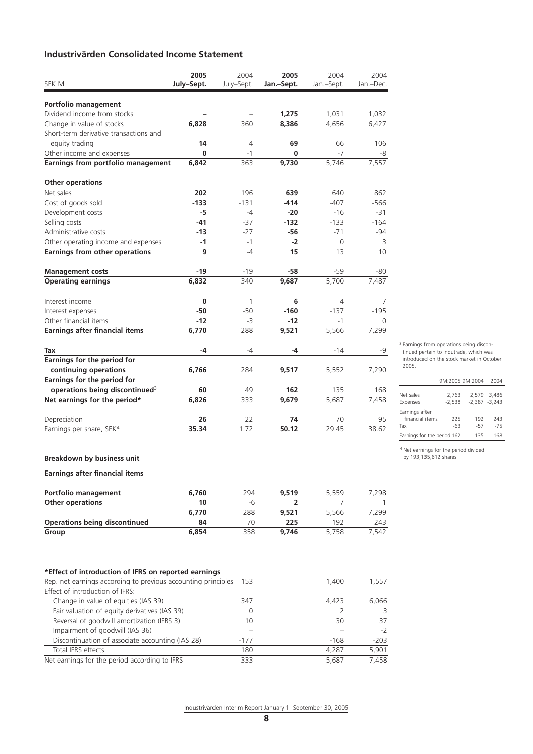#### **Industrivärden Consolidated Income Statement**

|                                                                                                                       | 2005       | 2004                     | 2005       | 2004       | 2004               |
|-----------------------------------------------------------------------------------------------------------------------|------------|--------------------------|------------|------------|--------------------|
| SEK M                                                                                                                 | July-Sept. | July-Sept.               | Jan.-Sept. | Jan.-Sept. | Jan.-Dec.          |
| Portfolio management                                                                                                  |            |                          |            |            |                    |
| Dividend income from stocks                                                                                           |            |                          | 1,275      | 1,031      | 1,032              |
| Change in value of stocks                                                                                             | 6,828      | 360                      | 8,386      | 4,656      | 6,427              |
| Short-term derivative transactions and                                                                                |            |                          |            |            |                    |
| equity trading                                                                                                        | 14         | 4                        | 69         | 66         | 106                |
| Other income and expenses                                                                                             | 0          | $-1$                     | 0          | $-7$       | -8                 |
| Earnings from portfolio management                                                                                    | 6,842      | 363                      | 9,730      | 5,746      | 7,557              |
| <b>Other operations</b>                                                                                               |            |                          |            |            |                    |
| Net sales                                                                                                             | 202        | 196                      | 639        | 640        | 862                |
| Cost of goods sold                                                                                                    | $-133$     | $-131$                   | $-414$     | $-407$     | -566               |
| Development costs                                                                                                     | -5         | -4                       | $-20$      | $-16$      | -31                |
| Selling costs                                                                                                         | $-41$      | -37                      | $-132$     | $-133$     | $-164$             |
| Administrative costs                                                                                                  | $-13$      | -27                      | -56        | $-71$      | -94                |
| Other operating income and expenses                                                                                   | $-1$       | -1                       | $-2$       | 0          | 3                  |
| <b>Earnings from other operations</b>                                                                                 | 9          | $-4$                     | 15         | 13         | 10                 |
|                                                                                                                       |            |                          |            |            |                    |
| <b>Management costs</b>                                                                                               | -19        | $-19$                    | $-58$      | $-59$      | -80                |
| <b>Operating earnings</b>                                                                                             | 6,832      | 340                      | 9,687      | 5,700      | 7,487              |
| Interest income                                                                                                       | 0          | $\mathbf{1}$             | 6          | 4          | 7                  |
| Interest expenses                                                                                                     | $-50$      | $-50$                    | $-160$     | $-137$     | $-195$             |
| Other financial items                                                                                                 | $-12$      | -3                       | $-12$      | -1         | 0                  |
| <b>Earnings after financial items</b>                                                                                 | 6,770      | 288                      | 9,521      | 5,566      | 7,299              |
| Tax                                                                                                                   | -4         | -4                       | -4         | -14        | -9                 |
| Earnings for the period for                                                                                           |            |                          |            |            |                    |
| continuing operations                                                                                                 | 6,766      | 284                      | 9,517      | 5,552      | 7,290              |
| Earnings for the period for                                                                                           |            |                          |            |            |                    |
| operations being discontinued <sup>3</sup>                                                                            | 60         | 49                       | 162        | 135        | 168                |
| Net earnings for the period*                                                                                          | 6,826      | 333                      | 9,679      | 5,687      | 7,458              |
|                                                                                                                       |            |                          |            |            |                    |
| Depreciation                                                                                                          | 26         | 22                       | 74         | 70         | 95                 |
| Earnings per share, SEK <sup>4</sup>                                                                                  | 35.34      | 1.72                     | 50.12      | 29.45      | 38.62              |
|                                                                                                                       |            |                          |            |            |                    |
| <b>Breakdown by business unit</b>                                                                                     |            |                          |            |            |                    |
| <b>Earnings after financial items</b>                                                                                 |            |                          |            |            |                    |
| Portfolio management                                                                                                  | 6,760      | 294                      | 9,519      | 5,559      | 7,298              |
| <b>Other operations</b>                                                                                               | 10         | -6                       | 2          | 7          | 1                  |
|                                                                                                                       | 6,770      | 288                      | 9,521      | 5,566      | 7,299              |
| <b>Operations being discontinued</b>                                                                                  | 84         | 70                       | 225        | 192        | 243                |
| Group                                                                                                                 | 6,854      | 358                      | 9,746      | 5,758      | 7,542              |
|                                                                                                                       |            |                          |            |            |                    |
| *Effect of introduction of IFRS on reported earnings<br>Rep. net earnings according to previous accounting principles |            | 153                      |            | 1,400      | 1,557              |
| Effect of introduction of IFRS:                                                                                       |            |                          |            |            |                    |
| Change in value of equities (IAS 39)                                                                                  |            | 347                      |            | 4,423      | 6,066              |
| Fair valuation of equity derivatives (IAS 39)                                                                         |            | 0                        |            | 2          | 3                  |
| Reversal of goodwill amortization (IFRS 3)                                                                            |            | 10                       |            | 30         | 37                 |
| Impairment of goodwill (IAS 36)                                                                                       |            | $\overline{\phantom{0}}$ |            |            | -2                 |
| Discontinuation of associate accounting (IAS 28)                                                                      |            | $-177$                   |            | $-168$     | $-203$             |
| Total IFRS effects                                                                                                    |            | 180                      |            | 4,287      | $\overline{5,901}$ |
| Net earnings for the period according to IFRS                                                                         |            | 333                      |            | 5,687      | 7,458              |

<sup>3</sup> Earnings from operations being discontinued pertain to Indutrade, which was introduced on the stock market in October 2005.

|                             |          | 9M:2005 9M:2004  | 2004        |
|-----------------------------|----------|------------------|-------------|
|                             |          |                  |             |
| Net sales                   | 2.763    |                  | 2.579 3.486 |
| Expenses                    | $-2.538$ | $-2.387 - 3.243$ |             |
| Earnings after              |          |                  |             |
| financial items             | 225      | 192              | 243         |
| Tax                         | -63      | -57              | $-75$       |
| Earnings for the period 162 |          | 135              | 168         |

4 Net earnings for the period divided by 193,135,612 shares.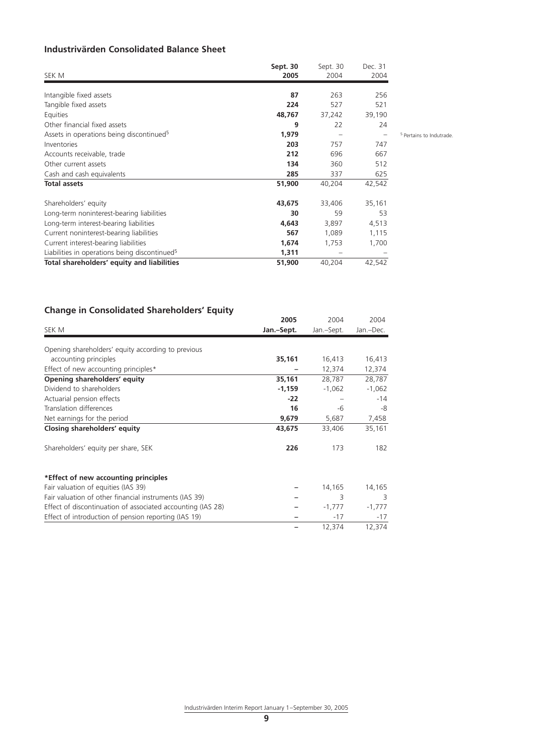#### **Industrivärden Consolidated Balance Sheet**

| SEK M                                                     | Sept. 30<br>2005 | Sept. 30<br>2004 | Dec. 31<br>2004   |                                     |
|-----------------------------------------------------------|------------------|------------------|-------------------|-------------------------------------|
| Intangible fixed assets                                   | 87               | 263              | 256               |                                     |
| Tangible fixed assets                                     | 224              | 527              | 521               |                                     |
| Equities                                                  | 48,767           | 37,242           | 39,190            |                                     |
| Other financial fixed assets                              | 9                | 22               | 24                |                                     |
| Assets in operations being discontinued <sup>5</sup>      | 1,979            |                  | $\qquad \qquad -$ | <sup>5</sup> Pertains to Indutrade. |
| Inventories                                               | 203              | 757              | 747               |                                     |
| Accounts receivable, trade                                | 212              | 696              | 667               |                                     |
| Other current assets                                      | 134              | 360              | 512               |                                     |
| Cash and cash equivalents                                 | 285              | 337              | 625               |                                     |
| <b>Total assets</b>                                       | 51,900           | 40,204           | 42,542            |                                     |
| Shareholders' equity                                      | 43,675           | 33,406           | 35,161            |                                     |
| Long-term noninterest-bearing liabilities                 | 30               | 59               | 53                |                                     |
| Long-term interest-bearing liabilities                    | 4,643            | 3,897            | 4,513             |                                     |
| Current noninterest-bearing liabilities                   | 567              | 1,089            | 1,115             |                                     |
| Current interest-bearing liabilities                      | 1,674            | 1,753            | 1,700             |                                     |
| Liabilities in operations being discontinued <sup>5</sup> | 1,311            |                  |                   |                                     |
| Total shareholders' equity and liabilities                | 51,900           | 40,204           | 42,542            |                                     |

#### **Change in Consolidated Shareholders' Equity**

|                                                             | 2005       | 2004<br>Jan.-Sept. | 2004<br>Jan.-Dec. |
|-------------------------------------------------------------|------------|--------------------|-------------------|
| SEK M                                                       | Jan.-Sept. |                    |                   |
| Opening shareholders' equity according to previous          |            |                    |                   |
| accounting principles                                       | 35,161     | 16,413             | 16,413            |
| Effect of new accounting principles*                        |            | 12,374             | 12,374            |
| Opening shareholders' equity                                | 35,161     | 28,787             | 28,787            |
| Dividend to shareholders                                    | $-1,159$   | $-1,062$           | $-1,062$          |
| Actuarial pension effects                                   | $-22$      |                    | $-14$             |
| Translation differences                                     | 16         | -6                 | -8                |
| Net earnings for the period                                 | 9,679      | 5,687              | 7,458             |
| Closing shareholders' equity                                | 43,675     | 33,406             | 35,161            |
| Shareholders' equity per share, SEK                         | 226        | 173                | 182               |
| *Effect of new accounting principles                        |            |                    |                   |
| Fair valuation of equities (IAS 39)                         |            | 14,165             | 14,165            |
| Fair valuation of other financial instruments (IAS 39)      |            | 3                  | 3                 |
| Effect of discontinuation of associated accounting (IAS 28) |            | $-1,777$           | $-1,777$          |
| Effect of introduction of pension reporting (IAS 19)        |            | $-17$              | $-17$             |
|                                                             |            | 12,374             | 12,374            |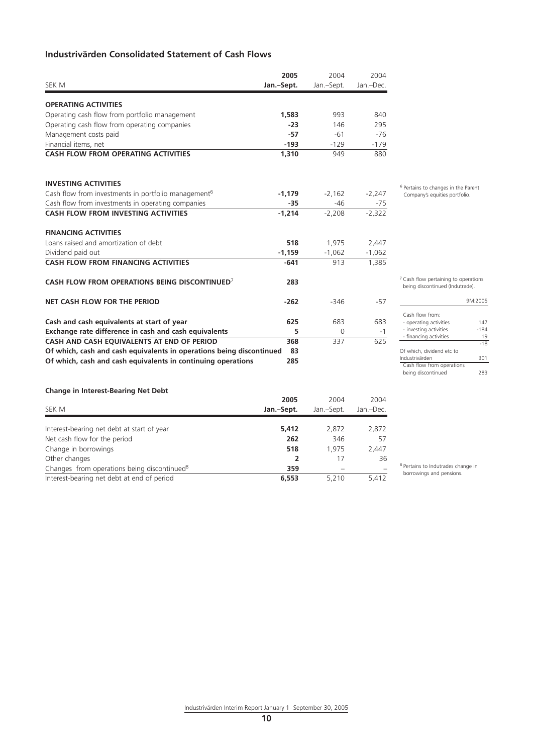#### **Industrivärden Consolidated Statement of Cash Flows**

|                                                                      | 2005       | 2004       | 2004      |
|----------------------------------------------------------------------|------------|------------|-----------|
| SEK M                                                                | Jan.-Sept. | Jan.-Sept. | Jan.-Dec. |
| <b>OPERATING ACTIVITIES</b>                                          |            |            |           |
| Operating cash flow from portfolio management                        | 1,583      | 993        | 840       |
| Operating cash flow from operating companies                         | $-23$      | 146        | 295       |
| Management costs paid                                                | $-57$      | $-61$      | $-76$     |
| Financial items, net                                                 | $-193$     | $-129$     | $-179$    |
| <b>CASH FLOW FROM OPERATING ACTIVITIES</b>                           | 1,310      | 949        | 880       |
| <b>INVESTING ACTIVITIES</b>                                          |            |            |           |
| Cash flow from investments in portfolio management <sup>6</sup>      | $-1,179$   | $-2,162$   | $-2,247$  |
| Cash flow from investments in operating companies                    | $-35$      | $-46$      | $-75$     |
| <b>CASH FLOW FROM INVESTING ACTIVITIES</b>                           | $-1.214$   | $-2.208$   | $-2.322$  |
| <b>FINANCING ACTIVITIES</b>                                          |            |            |           |
| Loans raised and amortization of debt                                | 518        | 1,975      | 2,447     |
| Dividend paid out                                                    | $-1.159$   | $-1,062$   | $-1,062$  |
| <b>CASH FLOW FROM FINANCING ACTIVITIES</b>                           | $-641$     | 913        | 1,385     |
| CASH FLOW FROM OPERATIONS BEING DISCONTINUED <sup>7</sup>            | 283        |            |           |
| NET CASH FLOW FOR THE PERIOD                                         | $-262$     | $-346$     | $-57$     |
| Cash and cash equivalents at start of year                           | 625        | 683        | 683       |
| Exchange rate difference in cash and cash equivalents                | 5          | $\Omega$   | $-1$      |
| CASH AND CASH EOUIVALENTS AT END OF PERIOD                           | 368        | 337        | 625       |
| Of which, cash and cash equivalents in operations being discontinued | 83         |            |           |
| Of which, cash and cash equivalents in continuing operations         | 285        |            |           |
|                                                                      |            |            |           |

6 Pertains to changes in the Parent Company's equities portfolio.

7 Cash flow pertaining to operations being discontinued (Indutrade).

|                           | 9M:2005 |  |
|---------------------------|---------|--|
| Cash flow from:           |         |  |
|                           |         |  |
| - operating activities    | 147     |  |
| - investing activities    | $-184$  |  |
| - financing activities    | 19      |  |
|                           | $-18$   |  |
| Of which, dividend etc to |         |  |
| Industrivärden            | 301     |  |
| Cash flow from operations |         |  |
| being discontinued        |         |  |

#### **Change in Interest-Bearing Net Debt**

| SEK M                                                   | 2005       | 2004<br>Jan.-Sept. | 2004<br>Jan.-Dec. |
|---------------------------------------------------------|------------|--------------------|-------------------|
|                                                         | Jan.-Sept. |                    |                   |
|                                                         |            |                    |                   |
| Interest-bearing net debt at start of year              | 5,412      | 2,872              | 2,872             |
| Net cash flow for the period                            | 262        | 346                | 57                |
| Change in borrowings                                    | 518        | 1.975              | 2.447             |
| Other changes                                           |            | 17                 | 36                |
| Changes from operations being discontinued <sup>8</sup> | 359        |                    |                   |
| Interest-bearing net debt at end of period              | 6,553      | 5.210              | 5.412             |

8 Pertains to Indutrades change in borrowings and pensions.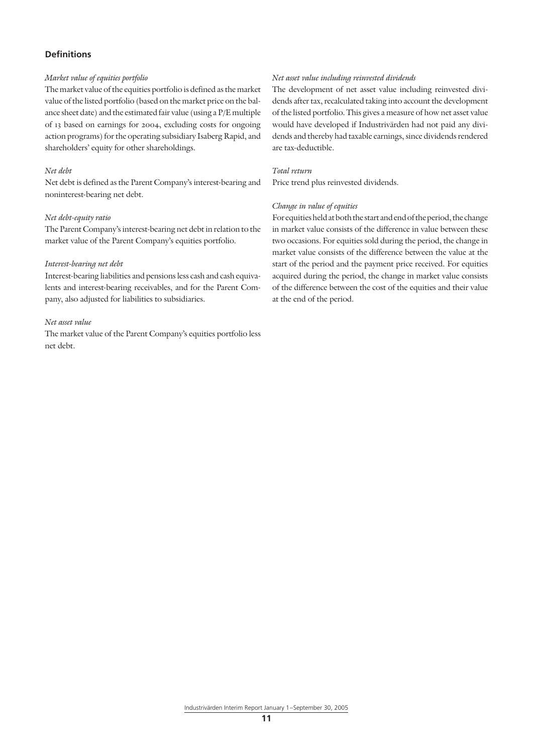#### **Definitions**

#### *Market value of equities portfolio*

The market value of the equities portfolio is defined as the market value of the listed portfolio (based on the market price on the balance sheet date) and the estimated fair value (using a P/E multiple of 13 based on earnings for 2004, excluding costs for ongoing action programs) for the operating subsidiary Isaberg Rapid, and shareholders' equity for other shareholdings.

#### *Net debt*

Net debt is defined as the Parent Company's interest-bearing and noninterest-bearing net debt.

#### *Net debt-equity ratio*

The Parent Company's interest-bearing net debt in relation to the market value of the Parent Company's equities portfolio.

#### *Interest-bearing net debt*

Interest-bearing liabilities and pensions less cash and cash equivalents and interest-bearing receivables, and for the Parent Company, also adjusted for liabilities to subsidiaries.

#### *Net asset value*

The market value of the Parent Company's equities portfolio less net debt.

#### *Net asset value including reinvested dividends*

The development of net asset value including reinvested dividends after tax, recalculated taking into account the development of the listed portfolio. This gives a measure of how net asset value would have developed if Industrivärden had not paid any dividends and thereby had taxable earnings, since dividends rendered are tax-deductible.

#### *Total return*

Price trend plus reinvested dividends.

#### *Change in value of equities*

For equities held at both the start and end of the period, the change in market value consists of the difference in value between these two occasions. For equities sold during the period, the change in market value consists of the difference between the value at the start of the period and the payment price received. For equities acquired during the period, the change in market value consists of the difference between the cost of the equities and their value at the end of the period.